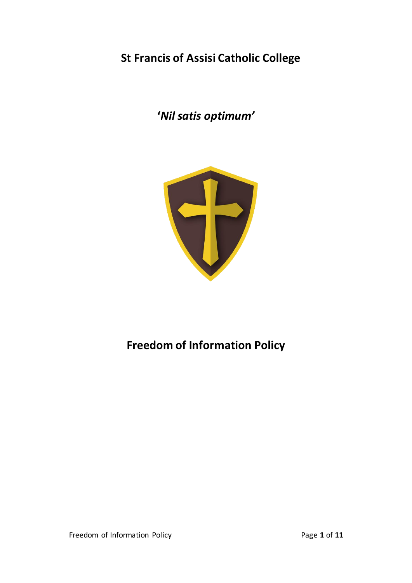## **St Francis of Assisi Catholic College**

**'***Nil satis optimum'*



# **Freedom of Information Policy**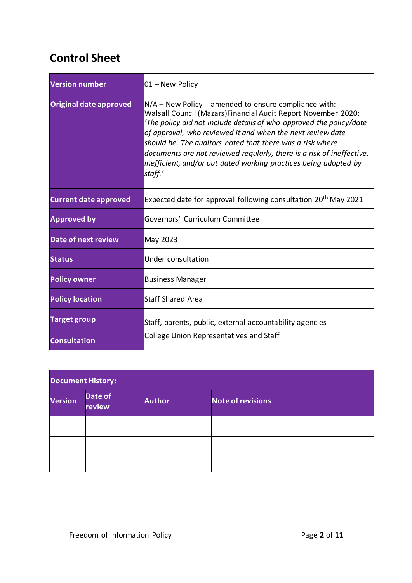## **Control Sheet**

| <b>Version number</b>        | $01 -$ New Policy                                                                                                                                                                                                                                                                                                                                                                                                                                                                   |  |
|------------------------------|-------------------------------------------------------------------------------------------------------------------------------------------------------------------------------------------------------------------------------------------------------------------------------------------------------------------------------------------------------------------------------------------------------------------------------------------------------------------------------------|--|
| Original date approved       | $N/A$ – New Policy - amended to ensure compliance with:<br>Walsall Council (Mazars) Financial Audit Report November 2020:<br>'The policy did not include details of who approved the policy/date<br>of approval, who reviewed it and when the next review date<br>should be. The auditors noted that there was a risk where<br>documents are not reviewed regularly, there is a risk of ineffective,<br>inefficient, and/or out dated working practices being adopted by<br>staff.' |  |
| <b>Current date approved</b> | Expected date for approval following consultation 20 <sup>th</sup> May 2021                                                                                                                                                                                                                                                                                                                                                                                                         |  |
| <b>Approved by</b>           | Governors' Curriculum Committee                                                                                                                                                                                                                                                                                                                                                                                                                                                     |  |
| <b>Date of next review</b>   | May 2023                                                                                                                                                                                                                                                                                                                                                                                                                                                                            |  |
| <b>Status</b>                | Under consultation                                                                                                                                                                                                                                                                                                                                                                                                                                                                  |  |
| <b>Policy owner</b>          | <b>Business Manager</b>                                                                                                                                                                                                                                                                                                                                                                                                                                                             |  |
| <b>Policy location</b>       | <b>Staff Shared Area</b>                                                                                                                                                                                                                                                                                                                                                                                                                                                            |  |
| <b>Target group</b>          | Staff, parents, public, external accountability agencies                                                                                                                                                                                                                                                                                                                                                                                                                            |  |
| <b>Consultation</b>          | <b>College Union Representatives and Staff</b>                                                                                                                                                                                                                                                                                                                                                                                                                                      |  |

| <b>Document History:</b> |                   |               |                          |
|--------------------------|-------------------|---------------|--------------------------|
| Version                  | Date of<br>review | <b>Author</b> | <b>Note of revisions</b> |
|                          |                   |               |                          |
|                          |                   |               |                          |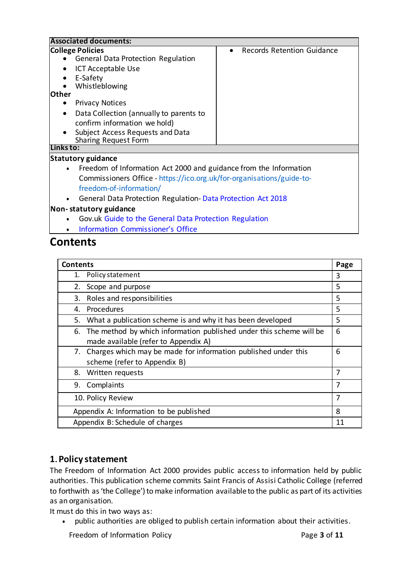| <b>Associated documents:</b>                                                   |                                         |  |
|--------------------------------------------------------------------------------|-----------------------------------------|--|
| <b>College Policies</b>                                                        | Records Retention Guidance<br>$\bullet$ |  |
| <b>General Data Protection Regulation</b>                                      |                                         |  |
| <b>ICT Acceptable Use</b>                                                      |                                         |  |
| E-Safety                                                                       |                                         |  |
| Whistleblowing                                                                 |                                         |  |
| lOther                                                                         |                                         |  |
| <b>Privacy Notices</b>                                                         |                                         |  |
| Data Collection (annually to parents to                                        |                                         |  |
| confirm information we hold)                                                   |                                         |  |
| Subject Access Requests and Data                                               |                                         |  |
| <b>Sharing Request Form</b>                                                    |                                         |  |
| Links to:                                                                      |                                         |  |
| <b>Statutory guidance</b>                                                      |                                         |  |
| Freedom of Information Act 2000 and guidance from the Information<br>$\bullet$ |                                         |  |
| Commissioners Office - https://ico.org.uk/for-organisations/guide-to-          |                                         |  |
| freedom-of-information/                                                        |                                         |  |
| General Data Protection Regulation-Data Protection Act 2018<br>$\bullet$       |                                         |  |
| Non-statutory guidance                                                         |                                         |  |
| Gov.uk Guide to the General Data Protection Regulation                         |                                         |  |

• [Information Commissioner's](https://www.google.com/search?q=information+commissioner%27s+office&oq=%E2%80%A2%09Information+Commissioner%E2%80%99s+Office&aqs=chrome.1.69i57j0i22i30l9.1765j0j7&sourceid=chrome&ie=UTF-8) Office

## **Contents**

| <b>Contents</b>                                                        | Page |
|------------------------------------------------------------------------|------|
| Policy statement<br>1.                                                 | 3    |
| Scope and purpose                                                      | 5    |
| Roles and responsibilities<br>3.                                       | 5    |
| 4. Procedures                                                          | 5    |
| What a publication scheme is and why it has been developed<br>5.       | 5    |
| 6. The method by which information published under this scheme will be | 6    |
| made available (refer to Appendix A)                                   |      |
| 7. Charges which may be made for information published under this      | 6    |
| scheme (refer to Appendix B)                                           |      |
| 8. Written requests                                                    | 7    |
| 9. Complaints                                                          | 7    |
| 7<br>10. Policy Review                                                 |      |
| 8<br>Appendix A: Information to be published                           |      |
| Appendix B: Schedule of charges<br>11                                  |      |

## **1. Policy statement**

The Freedom of Information Act 2000 provides public access to information held by public authorities. This publication scheme commits Saint Francis of Assisi Catholic College (referred to forthwith as 'the College') to make information available to the public as part of its activities as an organisation.

It must do this in two ways as:

• public authorities are obliged to publish certain information about their activities.

Freedom of Information Policy **Page 3** of 11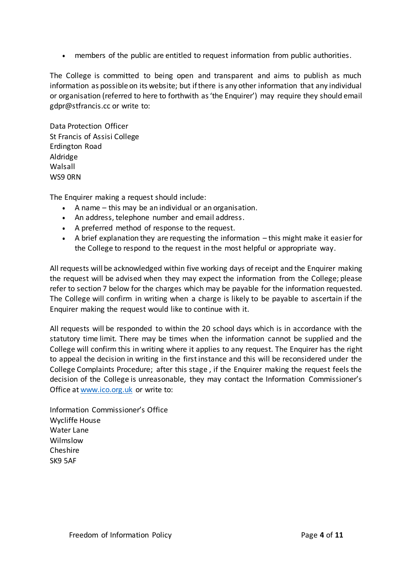• members of the public are entitled to request information from public authorities.

The College is committed to being open and transparent and aims to publish as much information as possible on its website; but if there is any other information that any individual or organisation (referred to here to forthwith as 'the Enquirer') may require they should email [gdpr@stfrancis.cc](mailto:gdpr@dalp.org.uk) or write to:

Data Protection Officer St Francis of Assisi College Erdington Road Aldridge Walsall WS9 0RN

The Enquirer making a request should include:

- A name this may be an individual or an organisation.
- An address, telephone number and email address.
- A preferred method of response to the request.
- A brief explanation they are requesting the information this might make it easier for the College to respond to the request in the most helpful or appropriate way.

All requests will be acknowledged within five working days of receipt and the Enquirer making the request will be advised when they may expect the information from the College; please refer to section 7 below for the charges which may be payable for the information requested. The College will confirm in writing when a charge is likely to be payable to ascertain if the Enquirer making the request would like to continue with it.

All requests will be responded to within the 20 school days which is in accordance with the statutory time limit. There may be times when the information cannot be supplied and the College will confirm this in writing where it applies to any request. The Enquirer has the right to appeal the decision in writing in the first instance and this will be reconsidered under the College Complaints Procedure; after this stage , if the Enquirer making the request feels the decision of the College is unreasonable, they may contact the Information Commissioner's Office a[t www.ico.org.uk](http://www.ico.org.uk/) or write to:

Information Commissioner's Office Wycliffe House Water Lane Wilmslow Cheshire SK9 5AF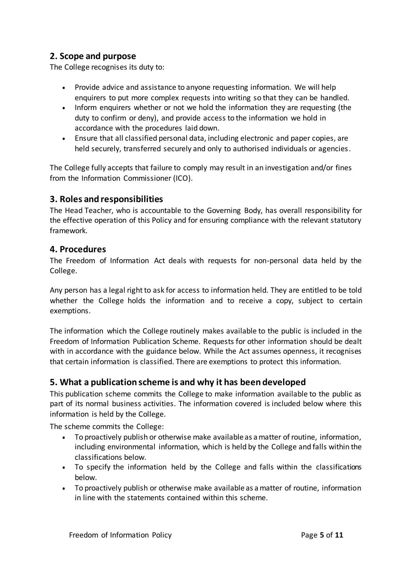## **2. Scope and purpose**

The College recognises its duty to:

- Provide advice and assistance to anyone requesting information. We will help enquirers to put more complex requests into writing so that they can be handled.
- Inform enquirers whether or not we hold the information they are requesting (the duty to confirm or deny), and provide access to the information we hold in accordance with the procedures laid down.
- Ensure that all classified personal data, including electronic and paper copies, are held securely, transferred securely and only to authorised individuals or agencies.

The College fully accepts that failure to comply may result in an investigation and/or fines from the Information Commissioner (ICO).

## **3. Roles and responsibilities**

The Head Teacher, who is accountable to the Governing Body, has overall responsibility for the effective operation of this Policy and for ensuring compliance with the relevant statutory framework.

## **4. Procedures**

The Freedom of Information Act deals with requests for non-personal data held by the College.

Any person has a legal right to ask for access to information held. They are entitled to be told whether the College holds the information and to receive a copy, subject to certain exemptions.

The information which the College routinely makes available to the public is included in the Freedom of Information Publication Scheme. Requests for other information should be dealt with in accordance with the guidance below. While the Act assumes openness, it recognises that certain information is classified. There are exemptions to protect this information.

## **5. What a publication scheme is and why it has been developed**

This publication scheme commits the College to make information available to the public as part of its normal business activities. The information covered is included below where this information is held by the College.

The scheme commits the College:

- To proactively publish or otherwise make available as a matter of routine, information, including environmental information, which is held by the College and falls within the classifications below.
- To specify the information held by the College and falls within the classifications below.
- To proactively publish or otherwise make available as a matter of routine, information in line with the statements contained within this scheme.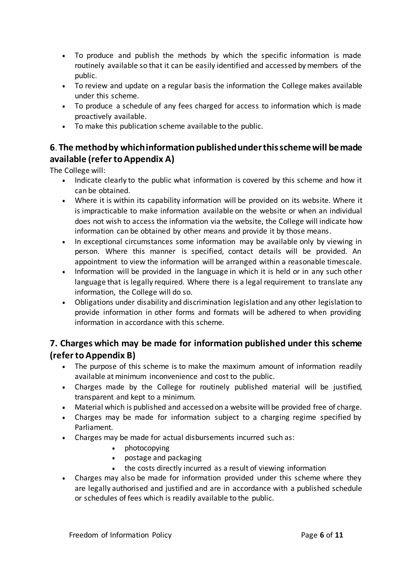- To produce and publish the methods by which the specific information is made routinely available so that it can be easily identified and accessed by members of the public.
- To review and update on a regular basis the information the College makes available under this scheme.
- To produce a schedule of any fees charged for access to information which is made proactively available.
- To make this publication scheme available to the public.

## **6**. **The method by which information published under this scheme will be made available (refer to Appendix A)**

The College will:

- Indicate clearly to the public what information is covered by this scheme and how it can be obtained.
- Where it is within its capability information will be provided on its website. Where it is impracticable to make information available on the website or when an individual does not wish to access the information via the website, the College will indicate how information can be obtained by other means and provide it by those means.
- In exceptional circumstances some information may be available only by viewing in person. Where this manner is specified, contact details will be provided. An appointment to view the information will be arranged within a reasonable timescale.
- Information will be provided in the language in which it is held or in any such other language that is legally required. Where there is a legal requirement to translate any information, the College will do so.
- Obligations under disability and discrimination legislation and any other legislation to provide information in other forms and formats will be adhered to when providing information in accordance with this scheme.

## **7. Charges which may be made for information published under this scheme (refer to Appendix B)**

- The purpose of this scheme is to make the maximum amount of information readily available at minimum inconvenience and cost to the public.
- Charges made by the College for routinely published material will be justified, transparent and kept to a minimum.
- Material which is published and accessed on a website will be provided free of charge.
- Charges may be made for information subject to a charging regime specified by Parliament.
- Charges may be made for actual disbursements incurred such as:
	- photocopying
	- postage and packaging
	- the costs directly incurred as a result of viewing information
- Charges may also be made for information provided under this scheme where they are legally authorised and justified and are in accordance with a published schedule or schedules of fees which is readily available to the public.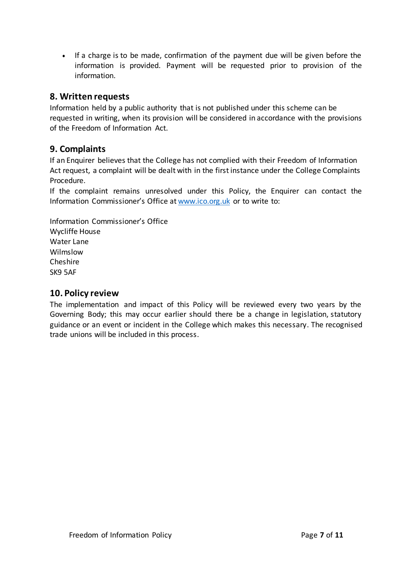• If a charge is to be made, confirmation of the payment due will be given before the information is provided. Payment will be requested prior to provision of the information.

## **8. Written requests**

Information held by a public authority that is not published under this scheme can be requested in writing, when its provision will be considered in accordance with the provisions of the Freedom of Information Act.

### **9. Complaints**

If an Enquirer believes that the College has not complied with their Freedom of Information Act request, a complaint will be dealt with in the first instance under the College Complaints Procedure.

If the complaint remains unresolved under this Policy, the Enquirer can contact the Information Commissioner's Office a[t www.ico.org.uk](http://www.ico.org.uk/) or to write to:

Information Commissioner's Office Wycliffe House Water Lane Wilmslow Cheshire SK9 5AF

### **10. Policy review**

The implementation and impact of this Policy will be reviewed every two years by the Governing Body; this may occur earlier should there be a change in legislation, statutory guidance or an event or incident in the College which makes this necessary. The recognised trade unions will be included in this process.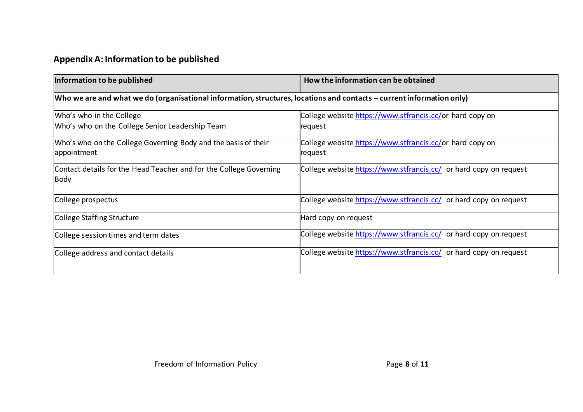## **Appendix A: Information to be published**

| Information to be published                                                                                           | How the information can be obtained                                 |  |
|-----------------------------------------------------------------------------------------------------------------------|---------------------------------------------------------------------|--|
| Who we are and what we do (organisational information, structures, locations and contacts – current information only) |                                                                     |  |
| Who's who in the College<br>Who's who on the College Senior Leadership Team                                           | College website https://www.stfrancis.cc/or hard copy on<br>request |  |
| Who's who on the College Governing Body and the basis of their<br>appointment                                         | College website https://www.stfrancis.cc/or hard copy on<br>request |  |
| Contact details for the Head Teacher and for the College Governing<br><b>Body</b>                                     | College website https://www.stfrancis.cc/ or hard copy on request   |  |
| College prospectus                                                                                                    | College website https://www.stfrancis.cc/ or hard copy on request   |  |
| College Staffing Structure                                                                                            | Hard copy on request                                                |  |
| College session times and term dates                                                                                  | College website https://www.stfrancis.cc/ or hard copy on request   |  |
| College address and contact details                                                                                   | College website https://www.stfrancis.cc/ or hard copy on request   |  |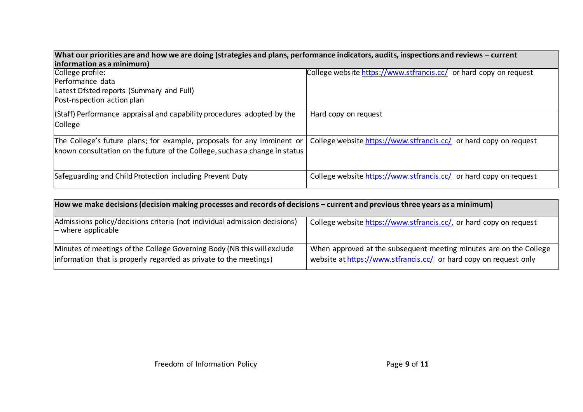| College profile:<br>Performance data<br>Latest Ofsted reports (Summary and Full)<br>Post-nspection action plan                                        | College website https://www.stfrancis.cc/ or hard copy on request |
|-------------------------------------------------------------------------------------------------------------------------------------------------------|-------------------------------------------------------------------|
| (Staff) Performance appraisal and capability procedures adopted by the<br>College                                                                     | Hard copy on request                                              |
| The College's future plans; for example, proposals for any imminent or<br>known consultation on the future of the College, such as a change in status | College website https://www.stfrancis.cc/ or hard copy on request |
| Safeguarding and Child Protection including Prevent Duty                                                                                              | College website https://www.stfrancis.cc/ or hard copy on request |

| How we make decisions (decision making processes and records of decisions – current and previous three years as a minimum)                   |                                                                                                                                         |  |
|----------------------------------------------------------------------------------------------------------------------------------------------|-----------------------------------------------------------------------------------------------------------------------------------------|--|
| Admissions policy/decisions criteria (not individual admission decisions)<br>$\mathsf{\left\lvert}-$ where applicable                        | College website https://www.stfrancis.cc/, or hard copy on request                                                                      |  |
| Minutes of meetings of the College Governing Body (NB this will exclude<br>information that is properly regarded as private to the meetings) | When approved at the subsequent meeting minutes are on the College<br>website at https://www.stfrancis.cc/ or hard copy on request only |  |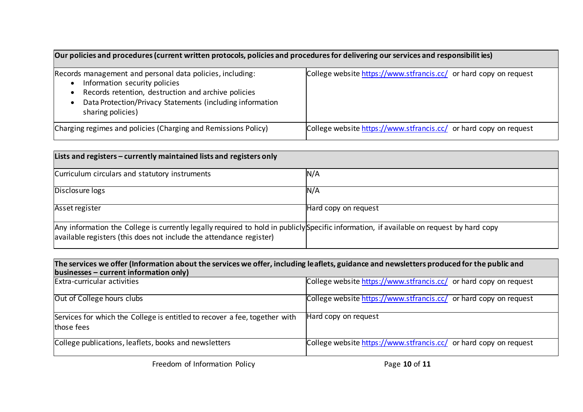| Our policies and procedures (current written protocols, policies and procedures for delivering our services and responsibilit ies)                                                                                                  |                                                                   |  |
|-------------------------------------------------------------------------------------------------------------------------------------------------------------------------------------------------------------------------------------|-------------------------------------------------------------------|--|
| Records management and personal data policies, including:<br>Information security policies<br>Records retention, destruction and archive policies<br>Data Protection/Privacy Statements (including information<br>sharing policies) | College website https://www.stfrancis.cc/ or hard copy on request |  |
| Charging regimes and policies (Charging and Remissions Policy)                                                                                                                                                                      | College website https://www.stfrancis.cc/ or hard copy on request |  |

| Lists and registers – currently maintained lists and registers only                                                                                                                                             |                      |  |
|-----------------------------------------------------------------------------------------------------------------------------------------------------------------------------------------------------------------|----------------------|--|
| Curriculum circulars and statutory instruments                                                                                                                                                                  | N/A                  |  |
| Disclosure logs                                                                                                                                                                                                 | N/A                  |  |
| Asset register                                                                                                                                                                                                  | Hard copy on request |  |
| Any information the College is currently legally required to hold in publicly Specific information, if available on request by hard copy<br>available registers (this does not include the attendance register) |                      |  |

| The services we offer (Information about the services we offer, including leaflets, guidance and newsletters produced for the public and<br>businesses – current information only) |                                                                   |  |
|------------------------------------------------------------------------------------------------------------------------------------------------------------------------------------|-------------------------------------------------------------------|--|
| Extra-curricular activities                                                                                                                                                        | College website https://www.stfrancis.cc/ or hard copy on request |  |
| Out of College hours clubs                                                                                                                                                         | College website https://www.stfrancis.cc/ or hard copy on request |  |
| Services for which the College is entitled to recover a fee, together with<br>those fees                                                                                           | Hard copy on request                                              |  |
| College publications, leaflets, books and newsletters                                                                                                                              | College website https://www.stfrancis.cc/ or hard copy on request |  |